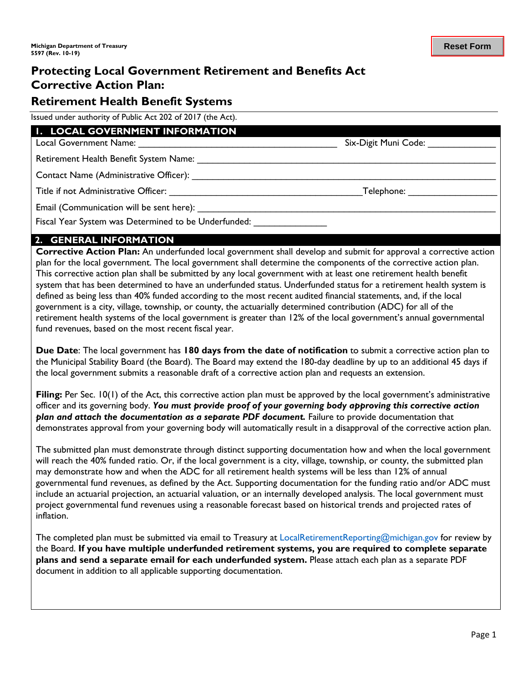# **Protecting Local Government Retirement and Benefits Act Corrective Action Plan:**

## **Retirement Health Benefit Systems**

Issued under authority of Public Act 202 of 2017 (the Act).

#### **1. LOCAL GOVERNMENT INFORMATION**

Local Government Name: \_\_\_\_\_\_\_\_\_\_\_\_\_\_\_\_\_\_\_\_\_\_\_\_\_\_\_\_\_\_\_\_\_\_\_\_\_\_ Six-Digit Muni Code: \_\_\_\_\_\_\_\_\_\_\_\_\_

Retirement Health Benefit System Name:

Contact Name (Administrative Officer): \_\_\_\_\_\_\_\_\_\_\_\_\_\_\_\_\_\_\_\_\_\_\_\_\_\_\_\_\_\_\_\_\_\_\_\_\_\_\_\_\_\_\_\_\_\_\_\_\_\_\_\_\_\_\_\_\_\_

Title if not Administrative Officer: \_\_\_\_\_\_\_\_\_\_\_\_\_\_\_\_\_\_\_\_\_\_\_\_\_\_\_\_\_\_\_\_\_\_\_\_\_Telephone: \_\_\_\_\_\_\_\_\_\_\_\_\_\_\_\_\_

Email (Communication will be sent here): \_\_\_\_\_\_\_\_\_\_\_\_\_\_\_\_\_\_\_\_\_\_\_\_\_\_\_\_\_\_\_\_\_\_\_\_\_\_\_\_\_\_\_\_\_\_\_\_\_\_\_\_\_\_\_\_\_

Fiscal Year System was Determined to be Underfunded:

#### **2. GENERAL INFORMATION**

**Corrective Action Plan:** An underfunded local government shall develop and submit for approval a corrective action plan for the local government. The local government shall determine the components of the corrective action plan. This corrective action plan shall be submitted by any local government with at least one retirement health benefit system that has been determined to have an underfunded status. Underfunded status for a retirement health system is defined as being less than 40% funded according to the most recent audited financial statements, and, if the local government is a city, village, township, or county, the actuarially determined contribution (ADC) for all of the retirement health systems of the local government is greater than 12% of the local government's annual governmental fund revenues, based on the most recent fiscal year.

**Due Date**: The local government has **180 days from the date of notification** to submit a corrective action plan to the Municipal Stability Board (the Board). The Board may extend the 180-day deadline by up to an additional 45 days if the local government submits a reasonable draft of a corrective action plan and requests an extension.

**Filing:** Per Sec. 10(1) of the Act, this corrective action plan must be approved by the local government's administrative officer and its governing body. *You must provide proof of your governing body approving this corrective action plan and attach the documentation as a separate PDF document.* Failure to provide documentation that demonstrates approval from your governing body will automatically result in a disapproval of the corrective action plan.

The submitted plan must demonstrate through distinct supporting documentation how and when the local government will reach the 40% funded ratio. Or, if the local government is a city, village, township, or county, the submitted plan may demonstrate how and when the ADC for all retirement health systems will be less than 12% of annual governmental fund revenues, as defined by the Act. Supporting documentation for the funding ratio and/or ADC must include an actuarial projection, an actuarial valuation, or an internally developed analysis. The local government must project governmental fund revenues using a reasonable forecast based on historical trends and projected rates of inflation.

The completed plan must be submitted via email to Treasury at LocalRetirementReporting@michigan.gov for review by the Board. **If you have multiple underfunded retirement systems, you are required to complete separate plans and send a separate email for each underfunded system.** Please attach each plan as a separate PDF document in addition to all applicable supporting documentation.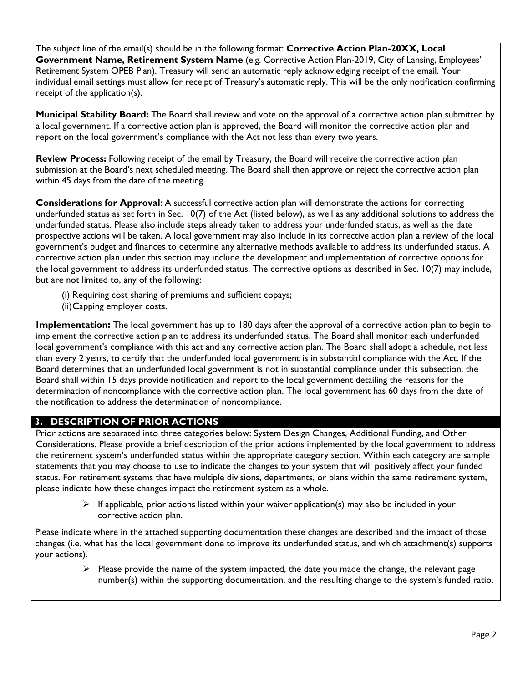The subject line of the email(s) should be in the following format: **Corrective Action Plan-20XX, Local Government Name, Retirement System Name** (e.g. Corrective Action Plan-2019, City of Lansing, Employees' Retirement System OPEB Plan). Treasury will send an automatic reply acknowledging receipt of the email. Your individual email settings must allow for receipt of Treasury's automatic reply. This will be the only notification confirming receipt of the application(s).

**Municipal Stability Board:** The Board shall review and vote on the approval of a corrective action plan submitted by a local government. If a corrective action plan is approved, the Board will monitor the corrective action plan and report on the local government's compliance with the Act not less than every two years.

**Review Process:** Following receipt of the email by Treasury, the Board will receive the corrective action plan submission at the Board's next scheduled meeting. The Board shall then approve or reject the corrective action plan within 45 days from the date of the meeting.

**Considerations for Approval**: A successful corrective action plan will demonstrate the actions for correcting underfunded status as set forth in Sec. 10(7) of the Act (listed below), as well as any additional solutions to address the underfunded status. Please also include steps already taken to address your underfunded status, as well as the date prospective actions will be taken. A local government may also include in its corrective action plan a review of the local government's budget and finances to determine any alternative methods available to address its underfunded status. A corrective action plan under this section may include the development and implementation of corrective options for the local government to address its underfunded status. The corrective options as described in Sec. 10(7) may include, but are not limited to, any of the following:

- (i) Requiring cost sharing of premiums and sufficient copays;
- (ii)Capping employer costs.

**Implementation:** The local government has up to 180 days after the approval of a corrective action plan to begin to implement the corrective action plan to address its underfunded status. The Board shall monitor each underfunded local government's compliance with this act and any corrective action plan. The Board shall adopt a schedule, not less than every 2 years, to certify that the underfunded local government is in substantial compliance with the Act. If the Board determines that an underfunded local government is not in substantial compliance under this subsection, the Board shall within 15 days provide notification and report to the local government detailing the reasons for the determination of noncompliance with the corrective action plan. The local government has 60 days from the date of the notification to address the determination of noncompliance.

### **3. DESCRIPTION OF PRIOR ACTIONS**

Prior actions are separated into three categories below: System Design Changes, Additional Funding, and Other Considerations. Please provide a brief description of the prior actions implemented by the local government to address the retirement system's underfunded status within the appropriate category section. Within each category are sample statements that you may choose to use to indicate the changes to your system that will positively affect your funded status. For retirement systems that have multiple divisions, departments, or plans within the same retirement system, please indicate how these changes impact the retirement system as a whole.

> $\triangleright$  If applicable, prior actions listed within your waiver application(s) may also be included in your corrective action plan.

Please indicate where in the attached supporting documentation these changes are described and the impact of those changes (i.e. what has the local government done to improve its underfunded status, and which attachment(s) supports your actions).

> $\triangleright$  Please provide the name of the system impacted, the date you made the change, the relevant page number(s) within the supporting documentation, and the resulting change to the system's funded ratio.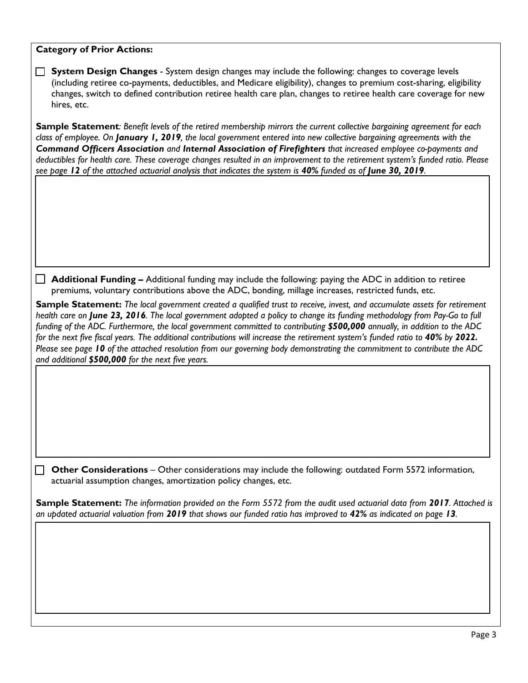## **Category of Prior Actions:**

| $\Box$                                                                                                                                                                                                                                                                                                                                                                                                                                                                                                                                                                                                                                                                                                   | System Design Changes - System design changes may include the following: changes to coverage levels<br>(including retiree co-payments, deductibles, and Medicare eligibility), changes to premium cost-sharing, eligibility<br>changes, switch to defined contribution retiree health care plan, changes to retiree health care coverage for new<br>hires, etc.                                                                                                                                                                                                                                                     |  |  |  |  |
|----------------------------------------------------------------------------------------------------------------------------------------------------------------------------------------------------------------------------------------------------------------------------------------------------------------------------------------------------------------------------------------------------------------------------------------------------------------------------------------------------------------------------------------------------------------------------------------------------------------------------------------------------------------------------------------------------------|---------------------------------------------------------------------------------------------------------------------------------------------------------------------------------------------------------------------------------------------------------------------------------------------------------------------------------------------------------------------------------------------------------------------------------------------------------------------------------------------------------------------------------------------------------------------------------------------------------------------|--|--|--|--|
|                                                                                                                                                                                                                                                                                                                                                                                                                                                                                                                                                                                                                                                                                                          | Sample Statement: Benefit levels of the retired membership mirrors the current collective bargaining agreement for each<br>class of employee. On January 1, 2019, the local government entered into new collective bargaining agreements with the<br>Command Officers Association and Internal Association of Firefighters that increased employee co-payments and<br>deductibles for health care. These coverage changes resulted in an improvement to the retirement system's funded ratio. Please<br>see page 12 of the attached actuarial analysis that indicates the system is 40% funded as of June 30, 2019. |  |  |  |  |
|                                                                                                                                                                                                                                                                                                                                                                                                                                                                                                                                                                                                                                                                                                          |                                                                                                                                                                                                                                                                                                                                                                                                                                                                                                                                                                                                                     |  |  |  |  |
| $\Box$                                                                                                                                                                                                                                                                                                                                                                                                                                                                                                                                                                                                                                                                                                   | Additional Funding - Additional funding may include the following: paying the ADC in addition to retiree<br>premiums, voluntary contributions above the ADC, bonding, millage increases, restricted funds, etc.                                                                                                                                                                                                                                                                                                                                                                                                     |  |  |  |  |
| Sample Statement: The local government created a qualified trust to receive, invest, and accumulate assets for retirement<br>health care on June 23, 2016. The local government adopted a policy to change its funding methodology from Pay-Go to full<br>funding of the ADC. Furthermore, the local government committed to contributing \$500,000 annually, in addition to the ADC<br>for the next five fiscal years. The additional contributions will increase the retirement system's funded ratio to 40% by 2022.<br>Please see page 10 of the attached resolution from our governing body demonstrating the commitment to contribute the ADC<br>and additional \$500,000 for the next five years. |                                                                                                                                                                                                                                                                                                                                                                                                                                                                                                                                                                                                                     |  |  |  |  |
|                                                                                                                                                                                                                                                                                                                                                                                                                                                                                                                                                                                                                                                                                                          |                                                                                                                                                                                                                                                                                                                                                                                                                                                                                                                                                                                                                     |  |  |  |  |
|                                                                                                                                                                                                                                                                                                                                                                                                                                                                                                                                                                                                                                                                                                          | <b>Other Considerations</b> – Other considerations may include the following: outdated Form 5572 information,<br>actuarial assumption changes, amortization policy changes, etc.                                                                                                                                                                                                                                                                                                                                                                                                                                    |  |  |  |  |
|                                                                                                                                                                                                                                                                                                                                                                                                                                                                                                                                                                                                                                                                                                          | <b>Sample Statement:</b> The information provided on the Form 5572 from the audit used actuarial data from 2017. Attached is<br>an updated actuarial valuation from 2019 that shows our funded ratio has improved to 42% as indicated on page 13.                                                                                                                                                                                                                                                                                                                                                                   |  |  |  |  |
|                                                                                                                                                                                                                                                                                                                                                                                                                                                                                                                                                                                                                                                                                                          |                                                                                                                                                                                                                                                                                                                                                                                                                                                                                                                                                                                                                     |  |  |  |  |
|                                                                                                                                                                                                                                                                                                                                                                                                                                                                                                                                                                                                                                                                                                          |                                                                                                                                                                                                                                                                                                                                                                                                                                                                                                                                                                                                                     |  |  |  |  |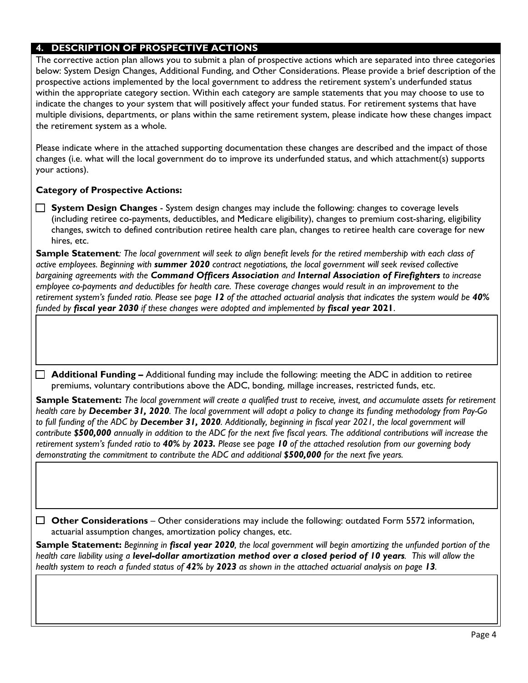### **4. DESCRIPTION OF PROSPECTIVE ACTIONS**

The corrective action plan allows you to submit a plan of prospective actions which are separated into three categories below: System Design Changes, Additional Funding, and Other Considerations. Please provide a brief description of the prospective actions implemented by the local government to address the retirement system's underfunded status within the appropriate category section. Within each category are sample statements that you may choose to use to indicate the changes to your system that will positively affect your funded status. For retirement systems that have multiple divisions, departments, or plans within the same retirement system, please indicate how these changes impact the retirement system as a whole.

Please indicate where in the attached supporting documentation these changes are described and the impact of those changes (i.e. what will the local government do to improve its underfunded status, and which attachment(s) supports your actions).

#### **Category of Prospective Actions:**

 **System Design Changes** - System design changes may include the following: changes to coverage levels (including retiree co-payments, deductibles, and Medicare eligibility), changes to premium cost-sharing, eligibility changes, switch to defined contribution retiree health care plan, changes to retiree health care coverage for new hires, etc.

**Sample Statement***: The local government will seek to align benefit levels for the retired membership with each class of active employees. Beginning with summer 2020 contract negotiations, the local government will seek revised collective bargaining agreements with the Command Officers Association and Internal Association of Firefighters to increase employee co-payments and deductibles for health care. These coverage changes would result in an improvement to the retirement system's funded ratio. Please see page 12 of the attached actuarial analysis that indicates the system would be 40% funded by fiscal year 2030 if these changes were adopted and implemented by fiscal year* **2021**.

 **Additional Funding –** Additional funding may include the following: meeting the ADC in addition to retiree premiums, voluntary contributions above the ADC, bonding, millage increases, restricted funds, etc.

**Sample Statement:** *The local government will create a qualified trust to receive, invest, and accumulate assets for retirement health care by December 31, 2020. The local government will adopt a policy to change its funding methodology from Pay-Go to full funding of the ADC by December 31, 2020. Additionally, beginning in fiscal year 2021, the local government will contribute \$500,000 annually in addition to the ADC for the next five fiscal years. The additional contributions will increase the retirement system's funded ratio to 40% by 2023. Please see page 10 of the attached resolution from our governing body demonstrating the commitment to contribute the ADC and additional \$500,000 for the next five years.* 

 **Other Considerations** – Other considerations may include the following: outdated Form 5572 information, actuarial assumption changes, amortization policy changes, etc.

**Sample Statement:** *Beginning in fiscal year 2020, the local government will begin amortizing the unfunded portion of the health care liability using a level-dollar amortization method over a closed period of 10 years. This will allow the health system to reach a funded status of 42% by 2023 as shown in the attached actuarial analysis on page 13.*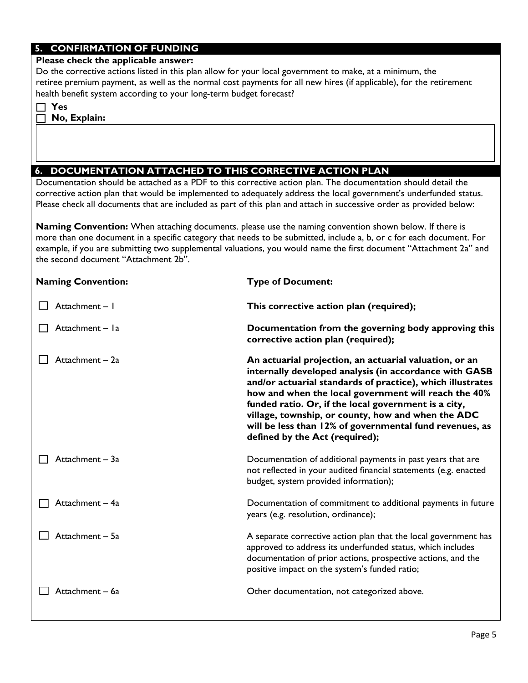## **5. CONFIRMATION OF FUNDING**

#### **Please check the applicable answer:**

Do the corrective actions listed in this plan allow for your local government to make, at a minimum, the retiree premium payment, as well as the normal cost payments for all new hires (if applicable), for the retirement health benefit system according to your long-term budget forecast?

|  | ×<br>۰.<br>٠<br>× |
|--|-------------------|
|--|-------------------|

**No, Explain:**

## **6. DOCUMENTATION ATTACHED TO THIS CORRECTIVE ACTION PLAN**

Documentation should be attached as a PDF to this corrective action plan. The documentation should detail the corrective action plan that would be implemented to adequately address the local government's underfunded status. Please check all documents that are included as part of this plan and attach in successive order as provided below:

**Naming Convention:** When attaching documents. please use the naming convention shown below. If there is more than one document in a specific category that needs to be submitted, include a, b, or c for each document. For example, if you are submitting two supplemental valuations, you would name the first document "Attachment 2a" and the second document "Attachment 2b".

| <b>Naming Convention:</b> | <b>Type of Document:</b>                                                                                                                                                                                                                                                                                                                                                                                                                          |  |
|---------------------------|---------------------------------------------------------------------------------------------------------------------------------------------------------------------------------------------------------------------------------------------------------------------------------------------------------------------------------------------------------------------------------------------------------------------------------------------------|--|
| Attachment - I            | This corrective action plan (required);                                                                                                                                                                                                                                                                                                                                                                                                           |  |
| Attachment - la           | Documentation from the governing body approving this<br>corrective action plan (required);                                                                                                                                                                                                                                                                                                                                                        |  |
| Attachment - 2a           | An actuarial projection, an actuarial valuation, or an<br>internally developed analysis (in accordance with GASB<br>and/or actuarial standards of practice), which illustrates<br>how and when the local government will reach the 40%<br>funded ratio. Or, if the local government is a city,<br>village, township, or county, how and when the ADC<br>will be less than 12% of governmental fund revenues, as<br>defined by the Act (required); |  |
| Attachment - 3a           | Documentation of additional payments in past years that are<br>not reflected in your audited financial statements (e.g. enacted<br>budget, system provided information);                                                                                                                                                                                                                                                                          |  |
| Attachment - 4a           | Documentation of commitment to additional payments in future<br>years (e.g. resolution, ordinance);                                                                                                                                                                                                                                                                                                                                               |  |
| Attachment - 5a           | A separate corrective action plan that the local government has<br>approved to address its underfunded status, which includes<br>documentation of prior actions, prospective actions, and the<br>positive impact on the system's funded ratio;                                                                                                                                                                                                    |  |
| Attachment - 6a           | Other documentation, not categorized above.                                                                                                                                                                                                                                                                                                                                                                                                       |  |